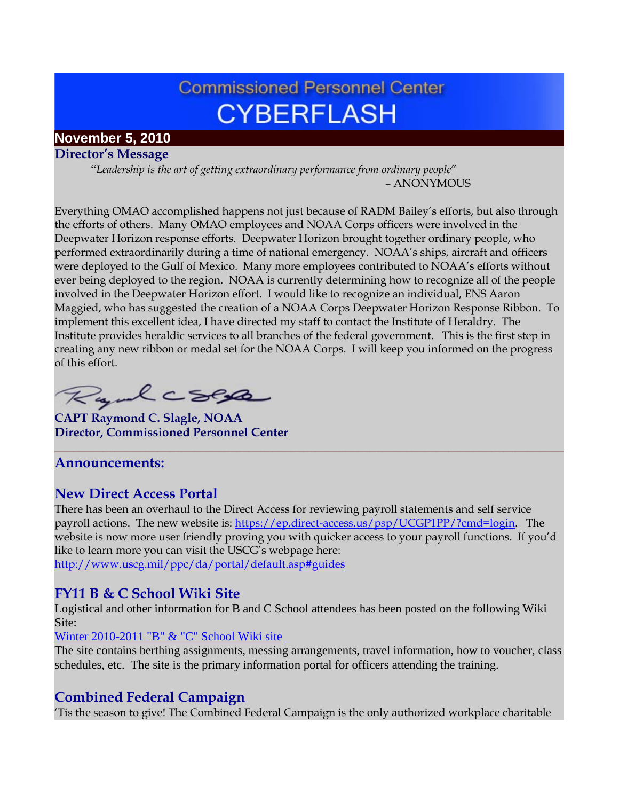# **Commissioned Personnel Center CYBERFLASH**

## **November 5, 2010**

**Director's Message**

 "*Leadership is the art of getting extraordinary performance from ordinary people*" – ANONYMOUS

Everything OMAO accomplished happens not just because of RADM Bailey's efforts, but also through the efforts of others. Many OMAO employees and NOAA Corps officers were involved in the Deepwater Horizon response efforts. Deepwater Horizon brought together ordinary people, who performed extraordinarily during a time of national emergency. NOAA's ships, aircraft and officers were deployed to the Gulf of Mexico. Many more employees contributed to NOAA's efforts without ever being deployed to the region. NOAA is currently determining how to recognize all of the people involved in the Deepwater Horizon effort. I would like to recognize an individual, ENS Aaron Maggied, who has suggested the creation of a NOAA Corps Deepwater Horizon Response Ribbon. To implement this excellent idea, I have directed my staff to contact the Institute of Heraldry. The Institute provides heraldic services to all branches of the federal government. This is the first step in creating any new ribbon or medal set for the NOAA Corps. I will keep you informed on the progress of this effort.

Rydecses

**CAPT Raymond C. Slagle, NOAA Director, Commissioned Personnel Center**

## **Announcements:**

## **New Direct Access Portal**

There has been an overhaul to the Direct Access for reviewing payroll statements and self service payroll actions. The new website is: [https://ep.direct-access.us/psp/UCGP1PP/?cmd=login.](https://ep.direct-access.us/psp/UCGP1PP/?cmd=login) The website is now more user friendly proving you with quicker access to your payroll functions. If you'd like to learn more you can visit the USCG's webpage here: <http://www.uscg.mil/ppc/da/portal/default.asp#guides>

**\_\_\_\_\_\_\_\_\_\_\_\_\_\_\_\_\_\_\_\_\_\_\_\_\_\_\_\_\_\_\_\_\_\_\_\_\_\_\_\_\_\_\_\_\_\_\_\_\_\_\_\_\_\_\_\_\_\_\_\_\_\_\_\_\_\_\_\_\_\_\_\_\_\_\_\_\_\_\_\_\_\_\_\_**

## **FY11 B & C School Wiki Site**

Logistical and other information for B and C School attendees has been posted on the following Wiki Site:

#### [Winter 2010-2011 "B" & "C" School Wiki site](https://www.st.nmfs.noaa.gov/confluence/pages/viewpage.action?pageId=19728329)

The site contains berthing assignments, messing arrangements, travel information, how to voucher, class schedules, etc. The site is the primary information portal for officers attending the training.

## **Combined Federal Campaign**

'Tis the season to give! The Combined Federal Campaign is the only authorized workplace charitable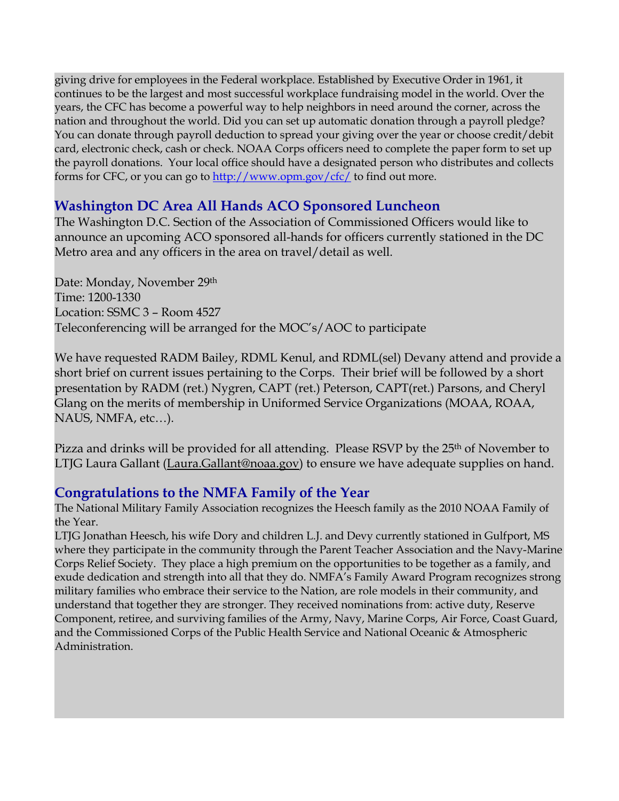giving drive for employees in the Federal workplace. Established by Executive Order in 1961, it continues to be the largest and most successful workplace fundraising model in the world. Over the years, the CFC has become a powerful way to help neighbors in need around the corner, across the nation and throughout the world. Did you can set up automatic donation through a payroll pledge? You can donate through payroll deduction to spread your giving over the year or choose credit/debit card, electronic check, cash or check. NOAA Corps officers need to complete the paper form to set up the payroll donations. Your local office should have a designated person who distributes and collects forms for CFC, or you can go to<http://www.opm.gov/cfc/> to find out more.

## **Washington DC Area All Hands ACO Sponsored Luncheon**

The Washington D.C. Section of the Association of Commissioned Officers would like to announce an upcoming ACO sponsored all-hands for officers currently stationed in the DC Metro area and any officers in the area on travel/detail as well.

Date: Monday, November 29th Time: 1200-1330 Location: SSMC 3 – Room 4527 Teleconferencing will be arranged for the MOC's/AOC to participate

We have requested RADM Bailey, RDML Kenul, and RDML(sel) Devany attend and provide a short brief on current issues pertaining to the Corps. Their brief will be followed by a short presentation by RADM (ret.) Nygren, CAPT (ret.) Peterson, CAPT(ret.) Parsons, and Cheryl Glang on the merits of membership in Uniformed Service Organizations (MOAA, ROAA, NAUS, NMFA, etc…).

Pizza and drinks will be provided for all attending. Please RSVP by the 25<sup>th</sup> of November to LTJG Laura Gallant [\(Laura.Gallant@noaa.gov\)](mailto:Laura.Gallant@noaa.gov) to ensure we have adequate supplies on hand.

## **Congratulations to the NMFA Family of the Year**

The National Military Family Association recognizes the Heesch family as the 2010 NOAA Family of the Year.

LTJG Jonathan Heesch, his wife Dory and children L.J. and Devy currently stationed in Gulfport, MS where they participate in the community through the Parent Teacher Association and the Navy-Marine Corps Relief Society. They place a high premium on the opportunities to be together as a family, and exude dedication and strength into all that they do. NMFA's Family Award Program recognizes strong military families who embrace their service to the Nation, are role models in their community, and understand that together they are stronger. They received nominations from: active duty, Reserve Component, retiree, and surviving families of the Army, Navy, Marine Corps, Air Force, Coast Guard, and the Commissioned Corps of the Public Health Service and National Oceanic & Atmospheric Administration.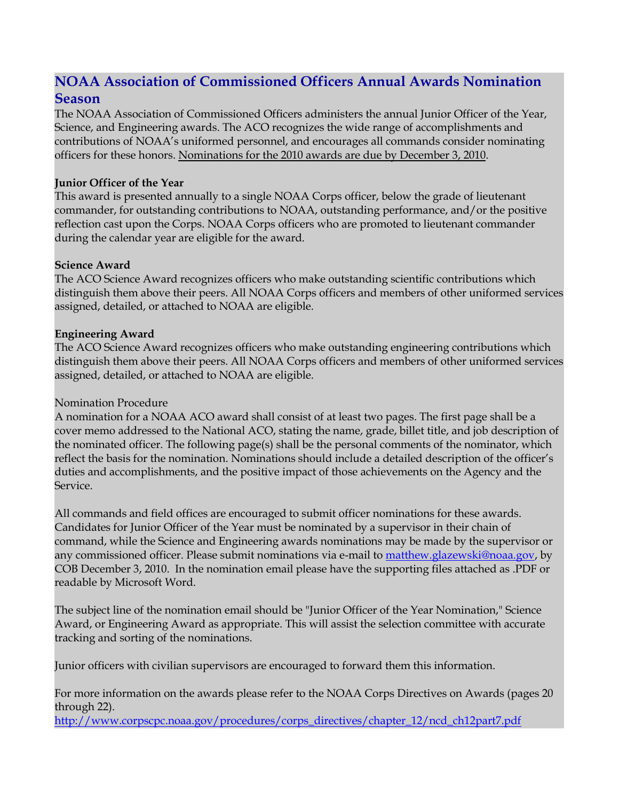## **NOAA Association of Commissioned Officers Annual Awards Nomination Season**

The NOAA Association of Commissioned Officers administers the annual Junior Officer of the Year, Science, and Engineering awards. The ACO recognizes the wide range of accomplishments and contributions of NOAA's uniformed personnel, and encourages all commands consider nominating officers for these honors. Nominations for the 2010 awards are due by December 3, 2010.

#### **Junior Officer of the Year**

This award is presented annually to a single NOAA Corps officer, below the grade of lieutenant commander, for outstanding contributions to NOAA, outstanding performance, and/or the positive reflection cast upon the Corps. NOAA Corps officers who are promoted to lieutenant commander during the calendar year are eligible for the award.

#### **Science Award**

The ACO Science Award recognizes officers who make outstanding scientific contributions which distinguish them above their peers. All NOAA Corps officers and members of other uniformed services assigned, detailed, or attached to NOAA are eligible.

#### **Engineering Award**

The ACO Science Award recognizes officers who make outstanding engineering contributions which distinguish them above their peers. All NOAA Corps officers and members of other uniformed services assigned, detailed, or attached to NOAA are eligible.

#### Nomination Procedure

A nomination for a NOAA ACO award shall consist of at least two pages. The first page shall be a cover memo addressed to the National ACO, stating the name, grade, billet title, and job description of the nominated officer. The following page(s) shall be the personal comments of the nominator, which reflect the basis for the nomination. Nominations should include a detailed description of the officer's duties and accomplishments, and the positive impact of those achievements on the Agency and the Service.

All commands and field offices are encouraged to submit officer nominations for these awards. Candidates for Junior Officer of the Year must be nominated by a supervisor in their chain of command, while the Science and Engineering awards nominations may be made by the supervisor or any commissioned officer. Please submit nominations via e-mail to **matthew.glazewski@noaa.gov**, by COB December 3, 2010. In the nomination email please have the supporting files attached as .PDF or readable by Microsoft Word.

The subject line of the nomination email should be "Junior Officer of the Year Nomination," Science Award, or Engineering Award as appropriate. This will assist the selection committee with accurate tracking and sorting of the nominations.

Junior officers with civilian supervisors are encouraged to forward them this information.

For more information on the awards please refer to the NOAA Corps Directives on Awards (pages 20 through 22).

[http://www.corpscpc.noaa.gov/procedures/corps\\_directives/chapter\\_12/ncd\\_ch12part7.pdf](http://www.corpscpc.noaa.gov/procedures/corps_directives/chapter_12/ncd_ch12part7.pdf)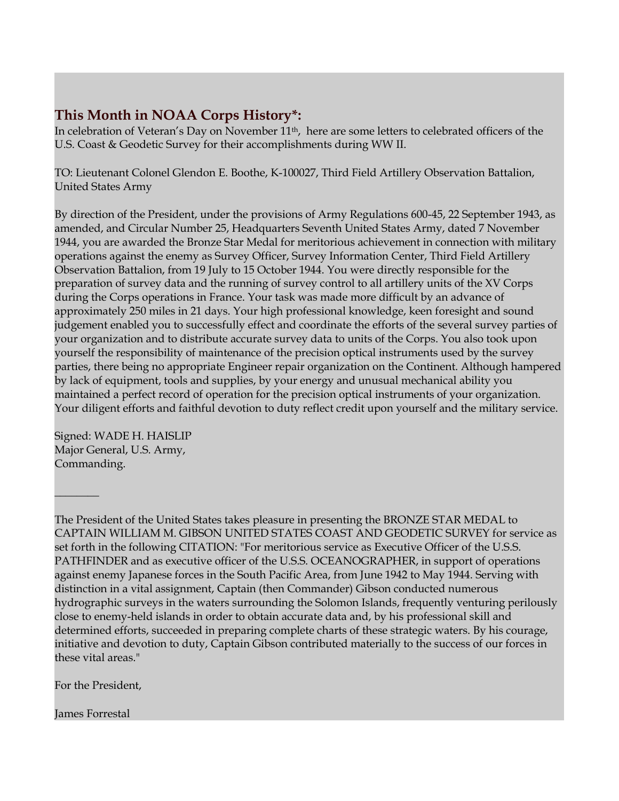## **This Month in NOAA Corps History\*:**

In celebration of Veteran's Day on November 11<sup>th</sup>, here are some letters to celebrated officers of the U.S. Coast & Geodetic Survey for their accomplishments during WW II.

TO: Lieutenant Colonel Glendon E. Boothe, K-100027, Third Field Artillery Observation Battalion, United States Army

By direction of the President, under the provisions of Army Regulations 600-45, 22 September 1943, as amended, and Circular Number 25, Headquarters Seventh United States Army, dated 7 November 1944, you are awarded the Bronze Star Medal for meritorious achievement in connection with military operations against the enemy as Survey Officer, Survey Information Center, Third Field Artillery Observation Battalion, from 19 July to 15 October 1944. You were directly responsible for the preparation of survey data and the running of survey control to all artillery units of the XV Corps during the Corps operations in France. Your task was made more difficult by an advance of approximately 250 miles in 21 days. Your high professional knowledge, keen foresight and sound judgement enabled you to successfully effect and coordinate the efforts of the several survey parties of your organization and to distribute accurate survey data to units of the Corps. You also took upon yourself the responsibility of maintenance of the precision optical instruments used by the survey parties, there being no appropriate Engineer repair organization on the Continent. Although hampered by lack of equipment, tools and supplies, by your energy and unusual mechanical ability you maintained a perfect record of operation for the precision optical instruments of your organization. Your diligent efforts and faithful devotion to duty reflect credit upon yourself and the military service.

Signed: WADE H. HAISLIP Major General, U.S. Army, Commanding.

 $\frac{1}{2}$ 

The President of the United States takes pleasure in presenting the BRONZE STAR MEDAL to CAPTAIN WILLIAM M. GIBSON UNITED STATES COAST AND GEODETIC SURVEY for service as set forth in the following CITATION: "For meritorious service as Executive Officer of the U.S.S. PATHFINDER and as executive officer of the U.S.S. OCEANOGRAPHER, in support of operations against enemy Japanese forces in the South Pacific Area, from June 1942 to May 1944. Serving with distinction in a vital assignment, Captain (then Commander) Gibson conducted numerous hydrographic surveys in the waters surrounding the Solomon Islands, frequently venturing perilously close to enemy-held islands in order to obtain accurate data and, by his professional skill and determined efforts, succeeded in preparing complete charts of these strategic waters. By his courage, initiative and devotion to duty, Captain Gibson contributed materially to the success of our forces in these vital areas."

For the President,

James Forrestal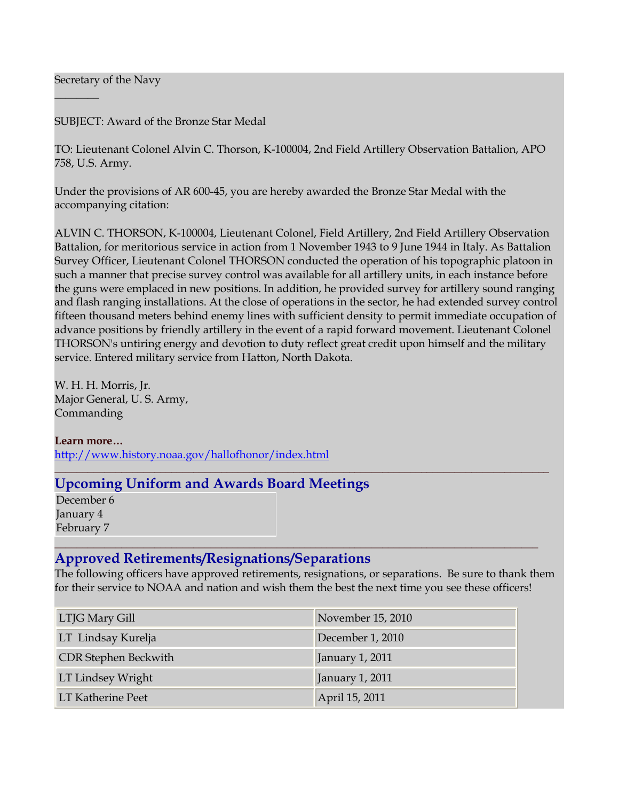Secretary of the Navy

 $\frac{1}{2}$ 

SUBJECT: Award of the Bronze Star Medal

TO: Lieutenant Colonel Alvin C. Thorson, K-100004, 2nd Field Artillery Observation Battalion, APO 758, U.S. Army.

Under the provisions of AR 600-45, you are hereby awarded the Bronze Star Medal with the accompanying citation:

ALVIN C. THORSON, K-100004, Lieutenant Colonel, Field Artillery, 2nd Field Artillery Observation Battalion, for meritorious service in action from 1 November 1943 to 9 June 1944 in Italy. As Battalion Survey Officer, Lieutenant Colonel THORSON conducted the operation of his topographic platoon in such a manner that precise survey control was available for all artillery units, in each instance before the guns were emplaced in new positions. In addition, he provided survey for artillery sound ranging and flash ranging installations. At the close of operations in the sector, he had extended survey control fifteen thousand meters behind enemy lines with sufficient density to permit immediate occupation of advance positions by friendly artillery in the event of a rapid forward movement. Lieutenant Colonel THORSON's untiring energy and devotion to duty reflect great credit upon himself and the military service. Entered military service from Hatton, North Dakota.

W. H. H. Morris, Jr. Major General, U. S. Army, Commanding

**Learn more…** <http://www.history.noaa.gov/hallofhonor/index.html>

## **Upcoming Uniform and Awards Board Meetings**

December 6 January 4 February 7

#### **\_\_\_\_\_\_\_\_\_\_\_\_\_\_\_\_\_\_\_\_\_\_\_\_\_\_\_\_\_\_\_\_\_\_\_\_\_\_\_\_\_\_\_\_\_\_\_\_\_\_\_\_\_\_\_\_\_\_\_\_\_\_\_\_\_\_\_\_\_\_\_\_\_\_\_\_\_\_\_\_\_\_\_\_\_\_\_ Approved Retirements/Resignations/Separations**

The following officers have approved retirements, resignations, or separations. Be sure to thank them for their service to NOAA and nation and wish them the best the next time you see these officers!

**\_\_\_\_\_\_\_\_\_\_\_\_\_\_\_\_\_\_\_\_\_\_\_\_\_\_\_\_\_\_\_\_\_\_\_\_\_\_\_\_\_\_\_\_\_\_\_\_\_\_\_\_\_\_\_\_\_\_\_\_\_\_\_\_\_\_\_\_\_\_\_\_\_\_\_\_\_\_\_\_\_\_\_\_\_\_\_\_\_**

| LTJG Mary Gill           | November 15, 2010 |
|--------------------------|-------------------|
| LT Lindsay Kurelja       | December 1, 2010  |
| CDR Stephen Beckwith     | January 1, 2011   |
| LT Lindsey Wright        | January 1, 2011   |
| <b>LT Katherine Peet</b> | April 15, 2011    |